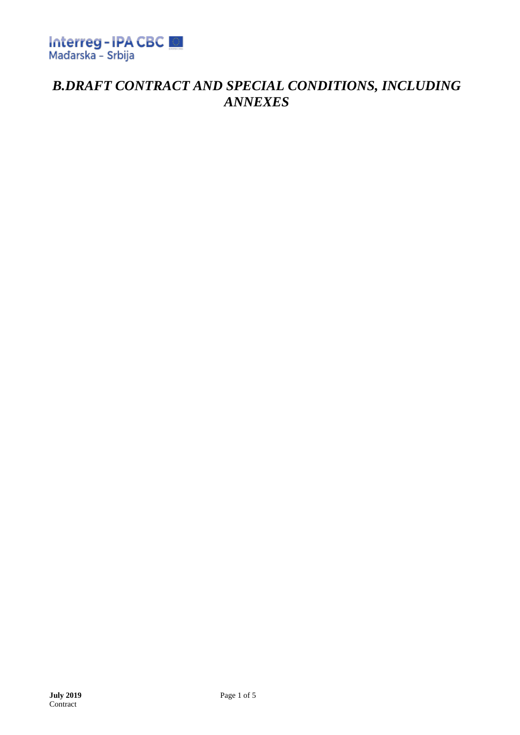

# *B.DRAFT CONTRACT AND SPECIAL CONDITIONS, INCLUDING ANNEXES*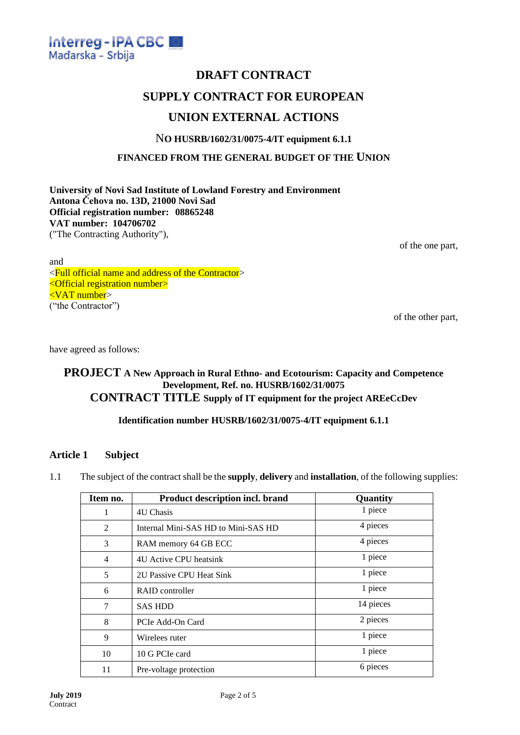

# **DRAFT CONTRACT**

## **SUPPLY CONTRACT FOR EUROPEAN**

### **UNION EXTERNAL ACTIONS**

#### N**O HUSRB/1602/31/0075-4/IT equipment 6.1.1**

**FINANCED FROM THE GENERAL BUDGET OF THE UNION**

**University of Novi Sad Institute of Lowland Forestry and Environment Antona Čehova no. 13D, 21000 Novi Sad Official registration number: 08865248 VAT number: 104706702** ("The Contracting Authority"),

of the one part,

and <Full official name and address of the Contractor> <Official registration number> <VAT number> ("the Contractor")

of the other part,

have agreed as follows:

#### **PROJECT A New Approach in Rural Ethno- and Ecotourism: Capacity and Competence Development, Ref. no. HUSRB/1602/31/0075 CONTRACT TITLE Supply of IT equipment for the project AREeCcDev**

#### **Identification number HUSRB/1602/31/0075-4/IT equipment 6.1.1**

#### **Article 1 Subject**

1.1 The subject of the contract shall be the **supply**, **delivery** and **installation**, of the following supplies:

| Item no.       | Product description incl. brand     | Quantity  |
|----------------|-------------------------------------|-----------|
| 1              | 4U Chasis                           | 1 piece   |
| 2              | Internal Mini-SAS HD to Mini-SAS HD | 4 pieces  |
| 3              | RAM memory 64 GB ECC                | 4 pieces  |
| $\overline{4}$ | 4U Active CPU heatsink              | 1 piece   |
| 5              | 2U Passive CPU Heat Sink            | 1 piece   |
| 6              | RAID controller                     | 1 piece   |
| 7              | <b>SAS HDD</b>                      | 14 pieces |
| 8              | PCIe Add-On Card                    | 2 pieces  |
| 9              | Wirelees ruter                      | 1 piece   |
| 10             | 10 G PCIe card                      | 1 piece   |
| 11             | Pre-voltage protection              | 6 pieces  |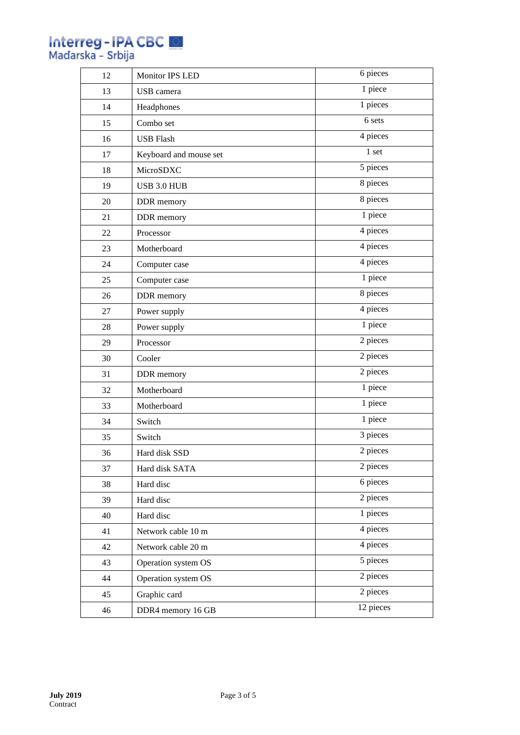# **Interreg - IPA CBC EL**<br>Mađarska - Srbija

| 1 piece<br>13<br>USB camera<br>1 pieces<br>14<br>Headphones<br>6 sets<br>15<br>Combo set<br>4 pieces<br>16<br><b>USB Flash</b><br>1 <sub>set</sub><br>17<br>Keyboard and mouse set<br>5 pieces<br>18<br>MicroSDXC<br>8 pieces<br>19<br>USB 3.0 HUB<br>8 pieces<br>20<br>DDR memory<br>1 piece<br>21<br>DDR memory<br>4 pieces<br>22<br>Processor<br>4 pieces<br>23<br>Motherboard<br>4 pieces<br>24<br>Computer case<br>1 piece<br>25<br>Computer case<br>8 pieces<br>26<br>DDR memory<br>4 pieces<br>27<br>Power supply<br>1 piece<br>28<br>Power supply<br>2 pieces<br>29<br>Processor<br>2 pieces<br>30<br>Cooler<br>2 pieces<br>31<br>DDR memory<br>1 piece<br>32<br>Motherboard<br>1 piece<br>33<br>Motherboard<br>1 piece<br>34<br>Switch<br>3 pieces<br>35<br>Switch<br>2 pieces<br>36<br>Hard disk SSD<br>2 pieces<br>Hard disk SATA<br>37<br>6 pieces<br>38<br>Hard disc<br>2 pieces<br>Hard disc<br>39<br>1 pieces<br>Hard disc<br>40<br>4 pieces<br>Network cable 10 m<br>41<br>4 pieces<br>42<br>Network cable 20 m<br>5 pieces<br>43<br>Operation system OS<br>2 pieces<br>Operation system OS<br>44<br>2 pieces<br>45<br>Graphic card<br>12 pieces<br>46<br>DDR4 memory 16 GB | 12 | <b>Monitor IPS LED</b> | 6 pieces |
|---------------------------------------------------------------------------------------------------------------------------------------------------------------------------------------------------------------------------------------------------------------------------------------------------------------------------------------------------------------------------------------------------------------------------------------------------------------------------------------------------------------------------------------------------------------------------------------------------------------------------------------------------------------------------------------------------------------------------------------------------------------------------------------------------------------------------------------------------------------------------------------------------------------------------------------------------------------------------------------------------------------------------------------------------------------------------------------------------------------------------------------------------------------------------------------------|----|------------------------|----------|
|                                                                                                                                                                                                                                                                                                                                                                                                                                                                                                                                                                                                                                                                                                                                                                                                                                                                                                                                                                                                                                                                                                                                                                                             |    |                        |          |
|                                                                                                                                                                                                                                                                                                                                                                                                                                                                                                                                                                                                                                                                                                                                                                                                                                                                                                                                                                                                                                                                                                                                                                                             |    |                        |          |
|                                                                                                                                                                                                                                                                                                                                                                                                                                                                                                                                                                                                                                                                                                                                                                                                                                                                                                                                                                                                                                                                                                                                                                                             |    |                        |          |
|                                                                                                                                                                                                                                                                                                                                                                                                                                                                                                                                                                                                                                                                                                                                                                                                                                                                                                                                                                                                                                                                                                                                                                                             |    |                        |          |
|                                                                                                                                                                                                                                                                                                                                                                                                                                                                                                                                                                                                                                                                                                                                                                                                                                                                                                                                                                                                                                                                                                                                                                                             |    |                        |          |
|                                                                                                                                                                                                                                                                                                                                                                                                                                                                                                                                                                                                                                                                                                                                                                                                                                                                                                                                                                                                                                                                                                                                                                                             |    |                        |          |
|                                                                                                                                                                                                                                                                                                                                                                                                                                                                                                                                                                                                                                                                                                                                                                                                                                                                                                                                                                                                                                                                                                                                                                                             |    |                        |          |
|                                                                                                                                                                                                                                                                                                                                                                                                                                                                                                                                                                                                                                                                                                                                                                                                                                                                                                                                                                                                                                                                                                                                                                                             |    |                        |          |
|                                                                                                                                                                                                                                                                                                                                                                                                                                                                                                                                                                                                                                                                                                                                                                                                                                                                                                                                                                                                                                                                                                                                                                                             |    |                        |          |
|                                                                                                                                                                                                                                                                                                                                                                                                                                                                                                                                                                                                                                                                                                                                                                                                                                                                                                                                                                                                                                                                                                                                                                                             |    |                        |          |
|                                                                                                                                                                                                                                                                                                                                                                                                                                                                                                                                                                                                                                                                                                                                                                                                                                                                                                                                                                                                                                                                                                                                                                                             |    |                        |          |
|                                                                                                                                                                                                                                                                                                                                                                                                                                                                                                                                                                                                                                                                                                                                                                                                                                                                                                                                                                                                                                                                                                                                                                                             |    |                        |          |
|                                                                                                                                                                                                                                                                                                                                                                                                                                                                                                                                                                                                                                                                                                                                                                                                                                                                                                                                                                                                                                                                                                                                                                                             |    |                        |          |
|                                                                                                                                                                                                                                                                                                                                                                                                                                                                                                                                                                                                                                                                                                                                                                                                                                                                                                                                                                                                                                                                                                                                                                                             |    |                        |          |
|                                                                                                                                                                                                                                                                                                                                                                                                                                                                                                                                                                                                                                                                                                                                                                                                                                                                                                                                                                                                                                                                                                                                                                                             |    |                        |          |
|                                                                                                                                                                                                                                                                                                                                                                                                                                                                                                                                                                                                                                                                                                                                                                                                                                                                                                                                                                                                                                                                                                                                                                                             |    |                        |          |
|                                                                                                                                                                                                                                                                                                                                                                                                                                                                                                                                                                                                                                                                                                                                                                                                                                                                                                                                                                                                                                                                                                                                                                                             |    |                        |          |
|                                                                                                                                                                                                                                                                                                                                                                                                                                                                                                                                                                                                                                                                                                                                                                                                                                                                                                                                                                                                                                                                                                                                                                                             |    |                        |          |
|                                                                                                                                                                                                                                                                                                                                                                                                                                                                                                                                                                                                                                                                                                                                                                                                                                                                                                                                                                                                                                                                                                                                                                                             |    |                        |          |
|                                                                                                                                                                                                                                                                                                                                                                                                                                                                                                                                                                                                                                                                                                                                                                                                                                                                                                                                                                                                                                                                                                                                                                                             |    |                        |          |
|                                                                                                                                                                                                                                                                                                                                                                                                                                                                                                                                                                                                                                                                                                                                                                                                                                                                                                                                                                                                                                                                                                                                                                                             |    |                        |          |
|                                                                                                                                                                                                                                                                                                                                                                                                                                                                                                                                                                                                                                                                                                                                                                                                                                                                                                                                                                                                                                                                                                                                                                                             |    |                        |          |
|                                                                                                                                                                                                                                                                                                                                                                                                                                                                                                                                                                                                                                                                                                                                                                                                                                                                                                                                                                                                                                                                                                                                                                                             |    |                        |          |
|                                                                                                                                                                                                                                                                                                                                                                                                                                                                                                                                                                                                                                                                                                                                                                                                                                                                                                                                                                                                                                                                                                                                                                                             |    |                        |          |
|                                                                                                                                                                                                                                                                                                                                                                                                                                                                                                                                                                                                                                                                                                                                                                                                                                                                                                                                                                                                                                                                                                                                                                                             |    |                        |          |
|                                                                                                                                                                                                                                                                                                                                                                                                                                                                                                                                                                                                                                                                                                                                                                                                                                                                                                                                                                                                                                                                                                                                                                                             |    |                        |          |
|                                                                                                                                                                                                                                                                                                                                                                                                                                                                                                                                                                                                                                                                                                                                                                                                                                                                                                                                                                                                                                                                                                                                                                                             |    |                        |          |
|                                                                                                                                                                                                                                                                                                                                                                                                                                                                                                                                                                                                                                                                                                                                                                                                                                                                                                                                                                                                                                                                                                                                                                                             |    |                        |          |
|                                                                                                                                                                                                                                                                                                                                                                                                                                                                                                                                                                                                                                                                                                                                                                                                                                                                                                                                                                                                                                                                                                                                                                                             |    |                        |          |
|                                                                                                                                                                                                                                                                                                                                                                                                                                                                                                                                                                                                                                                                                                                                                                                                                                                                                                                                                                                                                                                                                                                                                                                             |    |                        |          |
|                                                                                                                                                                                                                                                                                                                                                                                                                                                                                                                                                                                                                                                                                                                                                                                                                                                                                                                                                                                                                                                                                                                                                                                             |    |                        |          |
|                                                                                                                                                                                                                                                                                                                                                                                                                                                                                                                                                                                                                                                                                                                                                                                                                                                                                                                                                                                                                                                                                                                                                                                             |    |                        |          |
|                                                                                                                                                                                                                                                                                                                                                                                                                                                                                                                                                                                                                                                                                                                                                                                                                                                                                                                                                                                                                                                                                                                                                                                             |    |                        |          |
|                                                                                                                                                                                                                                                                                                                                                                                                                                                                                                                                                                                                                                                                                                                                                                                                                                                                                                                                                                                                                                                                                                                                                                                             |    |                        |          |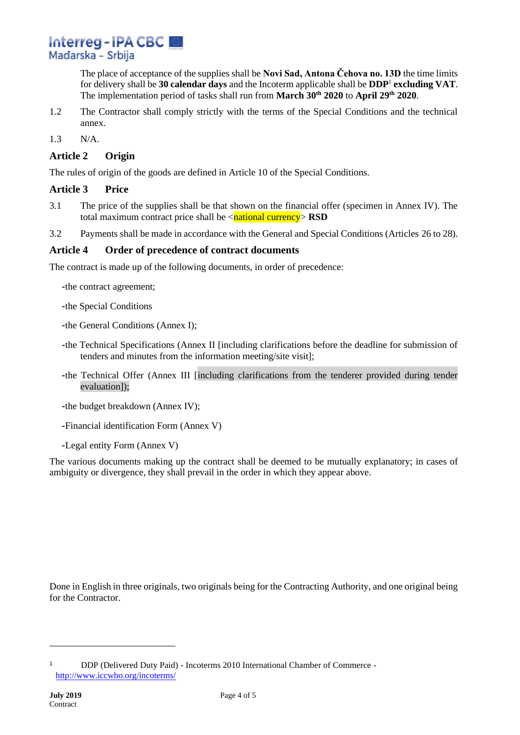The place of acceptance of the supplies shall be **Novi Sad, Antona Čehova no. 13D** the time limits for delivery shall be **30 calendar days** and the Incoterm applicable shall be **DDP**<sup>1</sup> **excluding VAT**. The implementation period of tasks shall run from **March 30th 2020** to **April 29th 2020**.

- 1.2 The Contractor shall comply strictly with the terms of the Special Conditions and the technical annex.
- 1.3 N/A.

#### **Article 2 Origin**

The rules of origin of the goods are defined in Article 10 of the Special Conditions.

#### **Article 3 Price**

- 3.1 The price of the supplies shall be that shown on the financial offer (specimen in Annex IV). The total maximum contract price shall be  $\langle$ **national currency** $>$ **RSD**
- 3.2 Payments shall be made in accordance with the General and Special Conditions (Articles 26 to 28).

#### **Article 4 Order of precedence of contract documents**

The contract is made up of the following documents, in order of precedence:

- -the contract agreement;
- -the Special Conditions
- -the General Conditions (Annex I);
- -the Technical Specifications (Annex II [including clarifications before the deadline for submission of tenders and minutes from the information meeting/site visit];
- -the Technical Offer (Annex III [including clarifications from the tenderer provided during tender evaluation]);
- -the budget breakdown (Annex IV);
- -Financial identification Form (Annex V)
- -Legal entity Form (Annex V)

The various documents making up the contract shall be deemed to be mutually explanatory; in cases of ambiguity or divergence, they shall prevail in the order in which they appear above.

Done in English in three originals, two originals being for the Contracting Authority, and one original being for the Contractor.

<sup>1</sup> DDP (Delivered Duty Paid) - Incoterms 2010 International Chamber of Commerce <http://www.iccwbo.org/incoterms/>